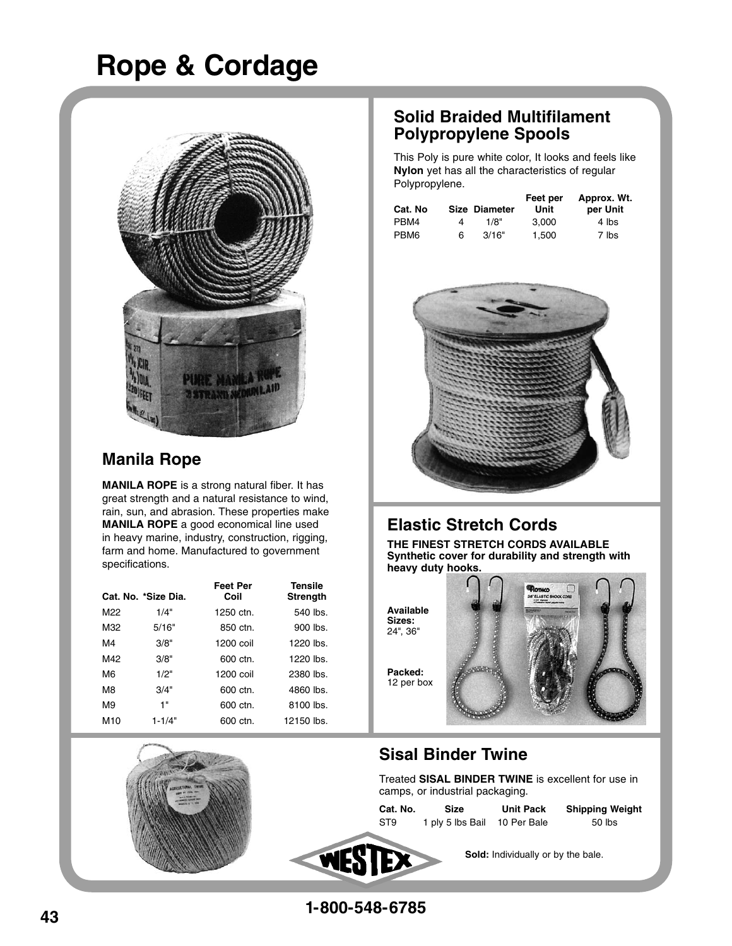# **Rope & Cordage**



### **Manila Rope**

**MANILA ROPE** is a strong natural fiber. It has great strength and a natural resistance to wind, rain, sun, and abrasion. These properties make **MANILA ROPE** a good economical line used in heavy marine, industry, construction, rigging, farm and home. Manufactured to government specifications.

|                 | Cat. No. *Size Dia. | <b>Feet Per</b><br>Coil | Tensile<br>Strength |
|-----------------|---------------------|-------------------------|---------------------|
| M22             | 1/4"                | 1250 ctn.               | 540 lbs.            |
| M32             | 5/16"               | 850 ctn.                | 900 lbs.            |
| M4              | 3/8"                | 1200 coil               | $1220$ lbs.         |
| M42             | 3/8"                | 600 ctn.                | 1220 lbs.           |
| M <sub>6</sub>  | 1/2"                | 1200 coil               | 2380 lbs.           |
| M <sub>8</sub>  | 3/4"                | $600 \text{ ctn}$ .     | 4860 lbs.           |
| M <sub>9</sub>  | 1"                  | 600 ctn.                | 8100 lbs.           |
| M <sub>10</sub> | $1 - 1/4"$          | 600 ctn.                | 12150 lbs.          |

### **Solid Braided Multifilament Polypropylene Spools**

This Poly is pure white color, It looks and feels like **Nylon** yet has all the characteristics of regular Polypropylene.

| Cat. No          |   | Size Diameter | Feet per<br>Unit | Approx. Wt.<br>per Unit |
|------------------|---|---------------|------------------|-------------------------|
| PBM4             | 4 | 1/8"          | 3.000            | 4 lbs                   |
| PBM <sub>6</sub> | 6 | 3/16"         | 1.500            | 7 lbs                   |



## **Elastic Stretch Cords**

**THE FINEST STRETCH CORDS AVAILABLE Synthetic cover for durability and strength with heavy duty hooks.**

**Available Sizes:**  24", 36"

**Packed:** 12 per box



## **Sisal Binder Twine**

Treated **SISAL BINDER TWINE** is excellent for use in camps, or industrial packaging.

**Cat. No. Size Unit Pack Shipping Weight** ST9 1 ply 5 lbs Bail 10 Per Bale 50 lbs



 **Sold:** Individually or by the bale.

**1-800-548-6785**